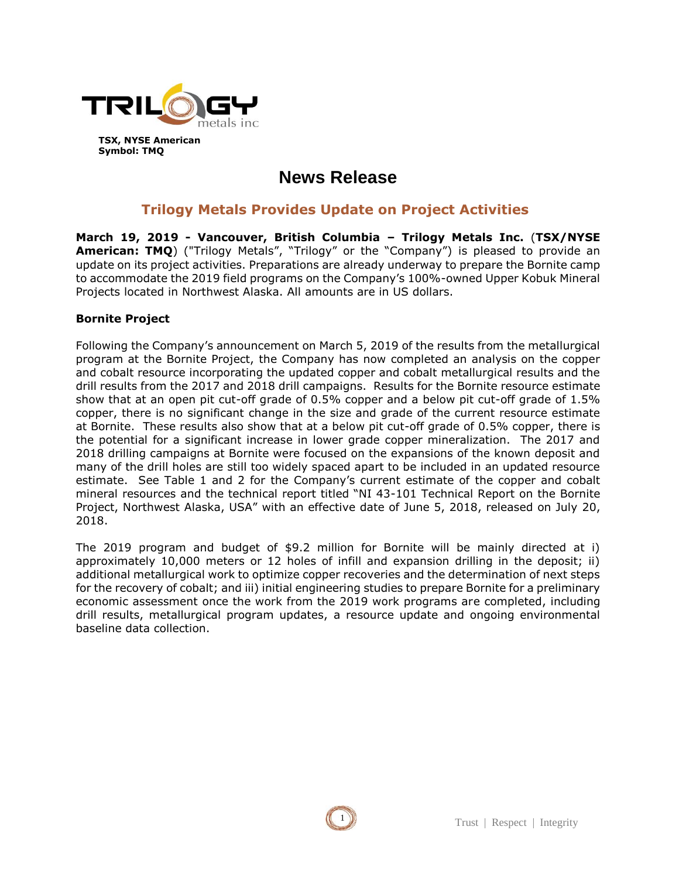

# **News Release**

## **Trilogy Metals Provides Update on Project Activities**

**March 19, 2019 - Vancouver, British Columbia – Trilogy Metals Inc.** (**TSX/NYSE American: TMQ**) ("Trilogy Metals", "Trilogy" or the "Company") is pleased to provide an update on its project activities. Preparations are already underway to prepare the Bornite camp to accommodate the 2019 field programs on the Company's 100%-owned Upper Kobuk Mineral Projects located in Northwest Alaska. All amounts are in US dollars.

## **Bornite Project**

Following the Company's announcement on March 5, 2019 of the results from the metallurgical program at the Bornite Project, the Company has now completed an analysis on the copper and cobalt resource incorporating the updated copper and cobalt metallurgical results and the drill results from the 2017 and 2018 drill campaigns. Results for the Bornite resource estimate show that at an open pit cut-off grade of 0.5% copper and a below pit cut-off grade of 1.5% copper, there is no significant change in the size and grade of the current resource estimate at Bornite. These results also show that at a below pit cut-off grade of 0.5% copper, there is the potential for a significant increase in lower grade copper mineralization. The 2017 and 2018 drilling campaigns at Bornite were focused on the expansions of the known deposit and many of the drill holes are still too widely spaced apart to be included in an updated resource estimate. See Table 1 and 2 for the Company's current estimate of the copper and cobalt mineral resources and the technical report titled "NI 43-101 Technical Report on the Bornite Project, Northwest Alaska, USA" with an effective date of June 5, 2018, released on July 20, 2018.

The 2019 program and budget of \$9.2 million for Bornite will be mainly directed at i) approximately 10,000 meters or 12 holes of infill and expansion drilling in the deposit; ii) additional metallurgical work to optimize copper recoveries and the determination of next steps for the recovery of cobalt; and iii) initial engineering studies to prepare Bornite for a preliminary economic assessment once the work from the 2019 work programs are completed, including drill results, metallurgical program updates, a resource update and ongoing environmental baseline data collection.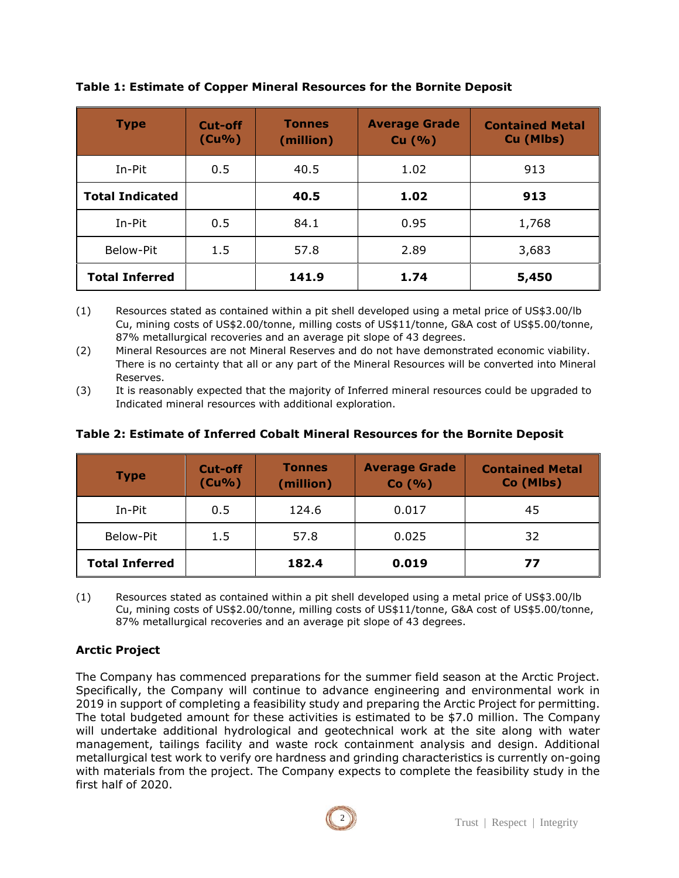| <b>Type</b>            | <b>Cut-off</b><br>$(Cu\% )$ | <b>Tonnes</b><br>(million) | <b>Average Grade</b><br>Cu $(% )$ | <b>Contained Metal</b><br>Cu (Mlbs) |
|------------------------|-----------------------------|----------------------------|-----------------------------------|-------------------------------------|
| In-Pit                 | 0.5                         | 40.5                       | 1.02                              | 913                                 |
| <b>Total Indicated</b> |                             | 40.5                       | 1.02                              | 913                                 |
| In-Pit                 | 0.5                         | 84.1                       | 0.95                              | 1,768                               |
| Below-Pit              | 1.5                         | 57.8                       | 2.89                              | 3,683                               |
| <b>Total Inferred</b>  |                             | 141.9                      | 1.74                              | 5,450                               |

## **Table 1: Estimate of Copper Mineral Resources for the Bornite Deposit**

(1) Resources stated as contained within a pit shell developed using a metal price of US\$3.00/lb Cu, mining costs of US\$2.00/tonne, milling costs of US\$11/tonne, G&A cost of US\$5.00/tonne, 87% metallurgical recoveries and an average pit slope of 43 degrees.

(2) Mineral Resources are not Mineral Reserves and do not have demonstrated economic viability. There is no certainty that all or any part of the Mineral Resources will be converted into Mineral Reserves.

(3) It is reasonably expected that the majority of Inferred mineral resources could be upgraded to Indicated mineral resources with additional exploration.

## **Table 2: Estimate of Inferred Cobalt Mineral Resources for the Bornite Deposit**

| <b>Type</b>           | <b>Cut-off</b><br>$(Cu\% )$ | <b>Tonnes</b><br>(million) | <b>Average Grade</b><br>Co(%) | <b>Contained Metal</b><br>Co (Mlbs) |
|-----------------------|-----------------------------|----------------------------|-------------------------------|-------------------------------------|
| In-Pit                | 0.5                         | 124.6                      | 0.017                         | 45                                  |
| Below-Pit             | 1.5                         | 57.8                       | 0.025                         | 32                                  |
| <b>Total Inferred</b> |                             | 182.4                      | 0.019                         | 77                                  |

(1) Resources stated as contained within a pit shell developed using a metal price of US\$3.00/lb Cu, mining costs of US\$2.00/tonne, milling costs of US\$11/tonne, G&A cost of US\$5.00/tonne, 87% metallurgical recoveries and an average pit slope of 43 degrees.

## **Arctic Project**

The Company has commenced preparations for the summer field season at the Arctic Project. Specifically, the Company will continue to advance engineering and environmental work in 2019 in support of completing a feasibility study and preparing the Arctic Project for permitting. The total budgeted amount for these activities is estimated to be \$7.0 million. The Company will undertake additional hydrological and geotechnical work at the site along with water management, tailings facility and waste rock containment analysis and design. Additional metallurgical test work to verify ore hardness and grinding characteristics is currently on-going with materials from the project. The Company expects to complete the feasibility study in the first half of 2020.

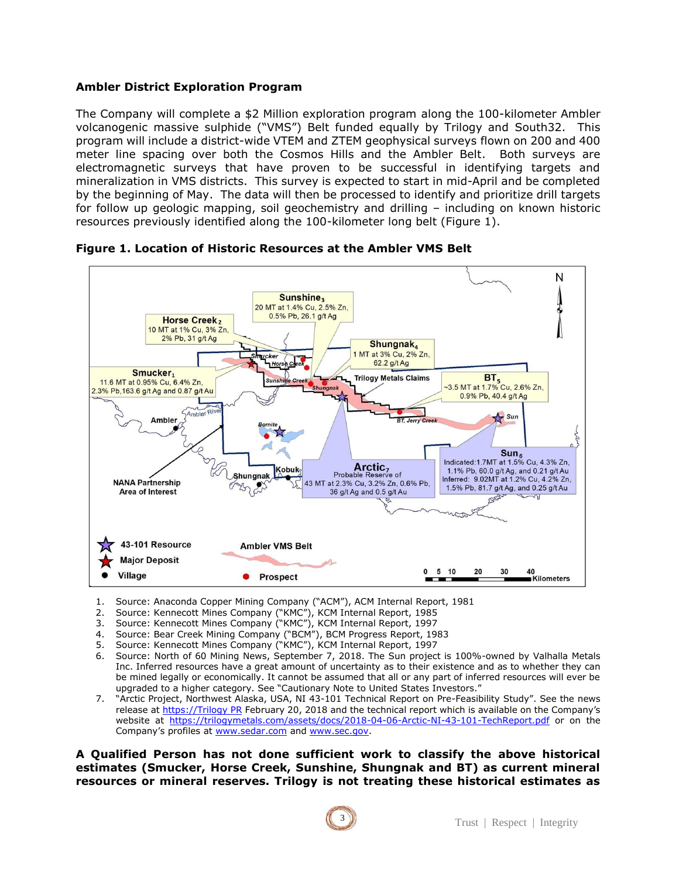#### **Ambler District Exploration Program**

The Company will complete a \$2 Million exploration program along the 100-kilometer Ambler volcanogenic massive sulphide ("VMS") Belt funded equally by Trilogy and South32. This program will include a district-wide VTEM and ZTEM geophysical surveys flown on 200 and 400 meter line spacing over both the Cosmos Hills and the Ambler Belt. Both surveys are electromagnetic surveys that have proven to be successful in identifying targets and mineralization in VMS districts. This survey is expected to start in mid-April and be completed by the beginning of May. The data will then be processed to identify and prioritize drill targets for follow up geologic mapping, soil geochemistry and drilling – including on known historic resources previously identified along the 100-kilometer long belt (Figure 1).



**Figure 1. Location of Historic Resources at the Ambler VMS Belt**

- 1. Source: Anaconda Copper Mining Company ("ACM"), ACM Internal Report, 1981
- 2. Source: Kennecott Mines Company ("KMC"), KCM Internal Report, 1985
- 3. Source: Kennecott Mines Company ("KMC"), KCM Internal Report, 1997
- 4. Source: Bear Creek Mining Company ("BCM"), BCM Progress Report, 1983
- 5. Source: Kennecott Mines Company ("KMC"), KCM Internal Report, 1997
- 6. Source: North of 60 Mining News, September 7, 2018. The Sun project is 100%-owned by Valhalla Metals Inc. Inferred resources have a great amount of uncertainty as to their existence and as to whether they can be mined legally or economically. It cannot be assumed that all or any part of inferred resources will ever be upgraded to a higher category. See "Cautionary Note to United States Investors."
- 7. "Arctic Project, Northwest Alaska, USA, NI 43-101 Technical Report on Pre-Feasibility Study". See the news release a[t https://Trilogy PR](https://trilogymetals.com/news/2018/trilogy-metals-files-ni-43-101-technical-report-for-the-arctic-pre-feasibility-study) February 20, 2018 and the technical report which is available on the Company's website at <https://trilogymetals.com/assets/docs/2018-04-06-Arctic-NI-43-101-TechReport.pdf> or on the Company's profiles at [www.sedar.com](file:///C:/Users/esanders/AppData/Local/Microsoft/Windows/Temporary%20Internet%20Files/Content.Outlook/EKNZKL53/www.sedar.com) and [www.sec.gov.](file:///C:/Users/esanders/AppData/Local/Microsoft/Windows/Temporary%20Internet%20Files/Content.Outlook/EKNZKL53/www.sec.gov)

**A Qualified Person has not done sufficient work to classify the above historical estimates (Smucker, Horse Creek, Sunshine, Shungnak and BT) as current mineral resources or mineral reserves. Trilogy is not treating these historical estimates as** 

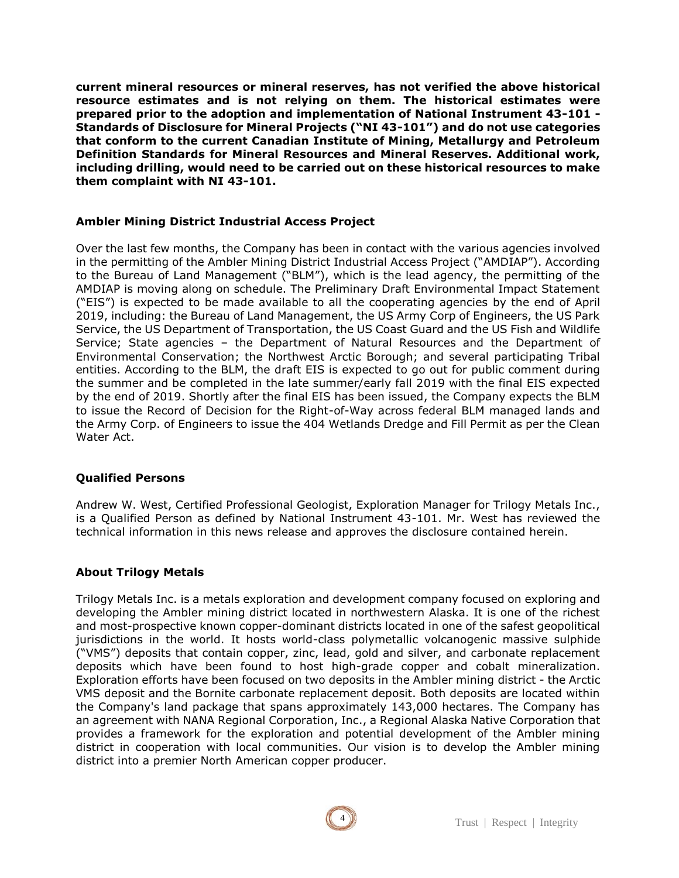**current mineral resources or mineral reserves, has not verified the above historical resource estimates and is not relying on them. The historical estimates were prepared prior to the adoption and implementation of National Instrument 43-101 - Standards of Disclosure for Mineral Projects ("NI 43-101") and do not use categories that conform to the current Canadian Institute of Mining, Metallurgy and Petroleum Definition Standards for Mineral Resources and Mineral Reserves. Additional work, including drilling, would need to be carried out on these historical resources to make them complaint with NI 43-101.**

#### **Ambler Mining District Industrial Access Project**

Over the last few months, the Company has been in contact with the various agencies involved in the permitting of the Ambler Mining District Industrial Access Project ("AMDIAP"). According to the Bureau of Land Management ("BLM"), which is the lead agency, the permitting of the AMDIAP is moving along on schedule. The Preliminary Draft Environmental Impact Statement ("EIS") is expected to be made available to all the cooperating agencies by the end of April 2019, including: the Bureau of Land Management, the US Army Corp of Engineers, the US Park Service, the US Department of Transportation, the US Coast Guard and the US Fish and Wildlife Service; State agencies – the Department of Natural Resources and the Department of Environmental Conservation; the Northwest Arctic Borough; and several participating Tribal entities. According to the BLM, the draft EIS is expected to go out for public comment during the summer and be completed in the late summer/early fall 2019 with the final EIS expected by the end of 2019. Shortly after the final EIS has been issued, the Company expects the BLM to issue the Record of Decision for the Right-of-Way across federal BLM managed lands and the Army Corp. of Engineers to issue the 404 Wetlands Dredge and Fill Permit as per the Clean Water Act.

#### **Qualified Persons**

Andrew W. West, Certified Professional Geologist, Exploration Manager for Trilogy Metals Inc., is a Qualified Person as defined by National Instrument 43-101. Mr. West has reviewed the technical information in this news release and approves the disclosure contained herein.

## **About Trilogy Metals**

Trilogy Metals Inc. is a metals exploration and development company focused on exploring and developing the Ambler mining district located in northwestern Alaska. It is one of the richest and most-prospective known copper-dominant districts located in one of the safest geopolitical jurisdictions in the world. It hosts world-class polymetallic volcanogenic massive sulphide ("VMS") deposits that contain copper, zinc, lead, gold and silver, and carbonate replacement deposits which have been found to host high-grade copper and cobalt mineralization. Exploration efforts have been focused on two deposits in the Ambler mining district - the Arctic VMS deposit and the Bornite carbonate replacement deposit. Both deposits are located within the Company's land package that spans approximately 143,000 hectares. The Company has an agreement with NANA Regional Corporation, Inc., a Regional Alaska Native Corporation that provides a framework for the exploration and potential development of the Ambler mining district in cooperation with local communities. Our vision is to develop the Ambler mining district into a premier North American copper producer.

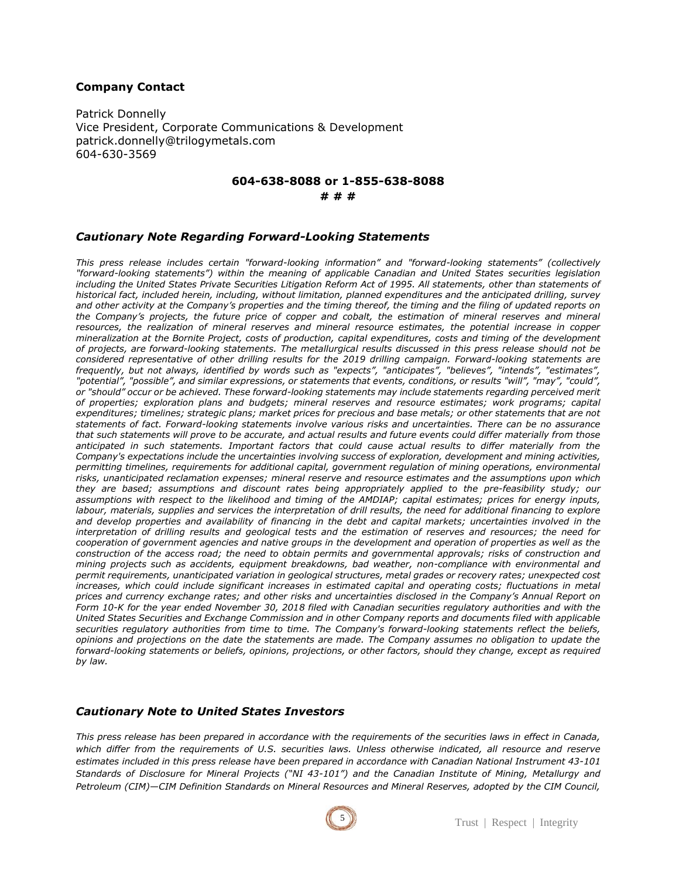#### **Company Contact**

Patrick Donnelly Vice President, Corporate Communications & Development patrick.donnelly@trilogymetals.com 604-630-3569

#### **604-638-8088 or 1-855-638-8088 # # #**

#### *Cautionary Note Regarding Forward-Looking Statements*

*This press release includes certain "forward-looking information" and "forward-looking statements" (collectively "forward-looking statements") within the meaning of applicable Canadian and United States securities legislation including the United States Private Securities Litigation Reform Act of 1995. All statements, other than statements of historical fact, included herein, including, without limitation, planned expenditures and the anticipated drilling, survey and other activity at the Company's properties and the timing thereof, the timing and the filing of updated reports on the Company's projects, the future price of copper and cobalt, the estimation of mineral reserves and mineral resources, the realization of mineral reserves and mineral resource estimates, the potential increase in copper mineralization at the Bornite Project, costs of production, capital expenditures, costs and timing of the development of projects, are forward-looking statements. The metallurgical results discussed in this press release should not be considered representative of other drilling results for the 2019 drilling campaign. Forward-looking statements are frequently, but not always, identified by words such as "expects", "anticipates", "believes", "intends", "estimates", "potential", "possible", and similar expressions, or statements that events, conditions, or results "will", "may", "could", or "should" occur or be achieved. These forward-looking statements may include statements regarding perceived merit of properties; exploration plans and budgets; mineral reserves and resource estimates; work programs; capital expenditures; timelines; strategic plans; market prices for precious and base metals; or other statements that are not statements of fact. Forward-looking statements involve various risks and uncertainties. There can be no assurance that such statements will prove to be accurate, and actual results and future events could differ materially from those anticipated in such statements. Important factors that could cause actual results to differ materially from the Company's expectations include the uncertainties involving success of exploration, development and mining activities, permitting timelines, requirements for additional capital, government regulation of mining operations, environmental risks, unanticipated reclamation expenses; mineral reserve and resource estimates and the assumptions upon which they are based; assumptions and discount rates being appropriately applied to the pre-feasibility study; our assumptions with respect to the likelihood and timing of the AMDIAP; capital estimates; prices for energy inputs, labour, materials, supplies and services the interpretation of drill results, the need for additional financing to explore and develop properties and availability of financing in the debt and capital markets; uncertainties involved in the interpretation of drilling results and geological tests and the estimation of reserves and resources; the need for cooperation of government agencies and native groups in the development and operation of properties as well as the construction of the access road; the need to obtain permits and governmental approvals; risks of construction and mining projects such as accidents, equipment breakdowns, bad weather, non-compliance with environmental and permit requirements, unanticipated variation in geological structures, metal grades or recovery rates; unexpected cost*  increases, which could include significant increases in estimated capital and operating costs; fluctuations in metal *prices and currency exchange rates; and other risks and uncertainties disclosed in the Company's Annual Report on Form 10-K for the year ended November 30, 2018 filed with Canadian securities regulatory authorities and with the United States Securities and Exchange Commission and in other Company reports and documents filed with applicable securities regulatory authorities from time to time. The Company's forward-looking statements reflect the beliefs, opinions and projections on the date the statements are made. The Company assumes no obligation to update the forward-looking statements or beliefs, opinions, projections, or other factors, should they change, except as required by law.*

#### *Cautionary Note to United States Investors*

*This press release has been prepared in accordance with the requirements of the securities laws in effect in Canada, which differ from the requirements of U.S. securities laws. Unless otherwise indicated, all resource and reserve estimates included in this press release have been prepared in accordance with Canadian National Instrument 43-101 Standards of Disclosure for Mineral Projects ("NI 43-101") and the Canadian Institute of Mining, Metallurgy and Petroleum (CIM)—CIM Definition Standards on Mineral Resources and Mineral Reserves, adopted by the CIM Council,*